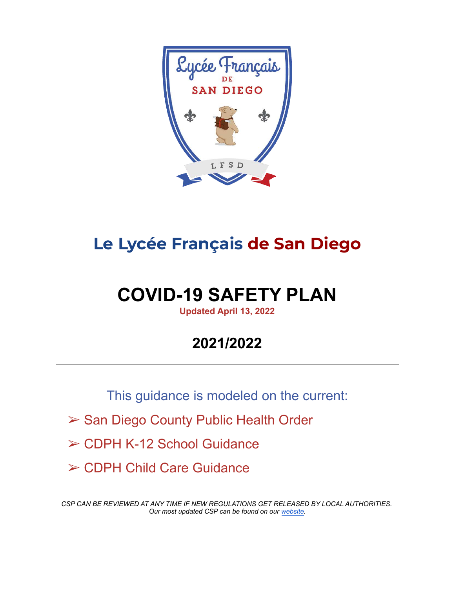

# **Le Lycée Français de San Diego**

# **COVID-19 SAFETY PLAN**

**Updated April 13, 2022**

# **2021/2022**

This guidance is modeled on the current:

- ➢ San Diego County Public Health Order
- ➢ CDPH K-12 School Guidance
- ➢ CDPH Child Care Guidance

*CSP CAN BE REVIEWED AT ANY TIME IF NEW REGULATIONS GET RELEASED BY LOCAL AUTHORITIES. Our most updated CSP can be found on our [website](https://petite-ecole.com/covid-19-update-our-back-to-school-plan).*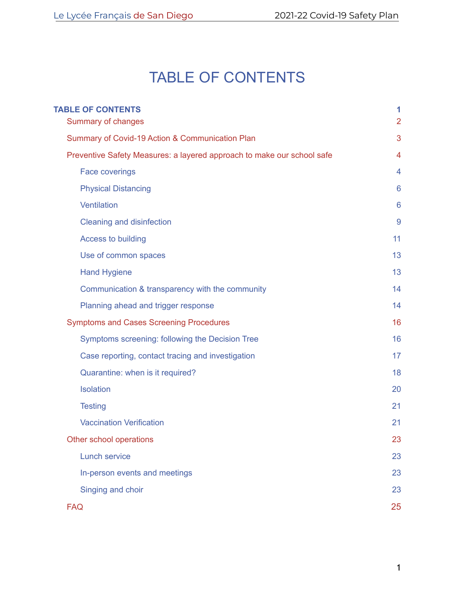# TABLE OF CONTENTS

<span id="page-1-0"></span>

| <b>TABLE OF CONTENTS</b><br>Summary of changes                         | 1<br>$\overline{2}$ |
|------------------------------------------------------------------------|---------------------|
| Summary of Covid-19 Action & Communication Plan                        | 3                   |
| Preventive Safety Measures: a layered approach to make our school safe | 4                   |
| <b>Face coverings</b>                                                  | 4                   |
| <b>Physical Distancing</b>                                             | 6                   |
| <b>Ventilation</b>                                                     | 6                   |
| <b>Cleaning and disinfection</b>                                       | 9                   |
| <b>Access to building</b>                                              | 11                  |
| Use of common spaces                                                   | 13                  |
| <b>Hand Hygiene</b>                                                    | 13                  |
| Communication & transparency with the community                        | 14                  |
| Planning ahead and trigger response                                    | 14                  |
| <b>Symptoms and Cases Screening Procedures</b>                         | 16                  |
| Symptoms screening: following the Decision Tree                        | 16                  |
| Case reporting, contact tracing and investigation                      | 17                  |
| Quarantine: when is it required?                                       | 18                  |
| <b>Isolation</b>                                                       | 20                  |
| <b>Testing</b>                                                         | 21                  |
| <b>Vaccination Verification</b>                                        | 21                  |
| Other school operations                                                | 23                  |
| <b>Lunch service</b>                                                   | 23                  |
| In-person events and meetings                                          | 23                  |
| Singing and choir                                                      | 23                  |
| <b>FAQ</b>                                                             | 25                  |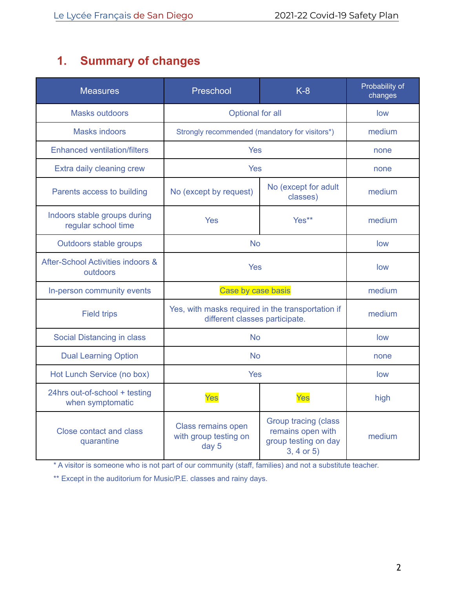# <span id="page-2-0"></span>**1. Summary of changes**

| <b>Measures</b>                                     | Preschool                                                                           | $K-8$                                                                                      | Probability of<br>changes |
|-----------------------------------------------------|-------------------------------------------------------------------------------------|--------------------------------------------------------------------------------------------|---------------------------|
| <b>Masks outdoors</b>                               | Optional for all                                                                    |                                                                                            | low                       |
| <b>Masks indoors</b>                                | Strongly recommended (mandatory for visitors*)                                      |                                                                                            | medium                    |
| <b>Enhanced ventilation/filters</b>                 | <b>Yes</b>                                                                          |                                                                                            | none                      |
| Extra daily cleaning crew                           | <b>Yes</b>                                                                          |                                                                                            | none                      |
| Parents access to building                          | No (except for adult<br>No (except by request)<br>classes)                          |                                                                                            | medium                    |
| Indoors stable groups during<br>regular school time | <b>Yes</b>                                                                          | Yes**                                                                                      | medium                    |
| Outdoors stable groups                              | <b>No</b>                                                                           |                                                                                            | low                       |
| After-School Activities indoors &<br>outdoors       | <b>Yes</b>                                                                          |                                                                                            | low                       |
| In-person community events                          | Case by case basis                                                                  |                                                                                            | medium                    |
| <b>Field trips</b>                                  | Yes, with masks required in the transportation if<br>different classes participate. |                                                                                            | medium                    |
| Social Distancing in class                          | <b>No</b>                                                                           |                                                                                            | low                       |
| <b>Dual Learning Option</b>                         | <b>No</b>                                                                           |                                                                                            | none                      |
| Hot Lunch Service (no box)                          | Yes                                                                                 |                                                                                            | low                       |
| 24hrs out-of-school + testing<br>when symptomatic   | Yes                                                                                 | Yes                                                                                        | high                      |
| <b>Close contact and class</b><br>quarantine        | Class remains open<br>with group testing on<br>day 5                                | <b>Group tracing (class</b><br>remains open with<br>group testing on day<br>$3, 4$ or $5)$ | medium                    |

\* A visitor is someone who is not part of our community (staff, families) and not a substitute teacher.

\*\* Except in the auditorium for Music/P.E. classes and rainy days.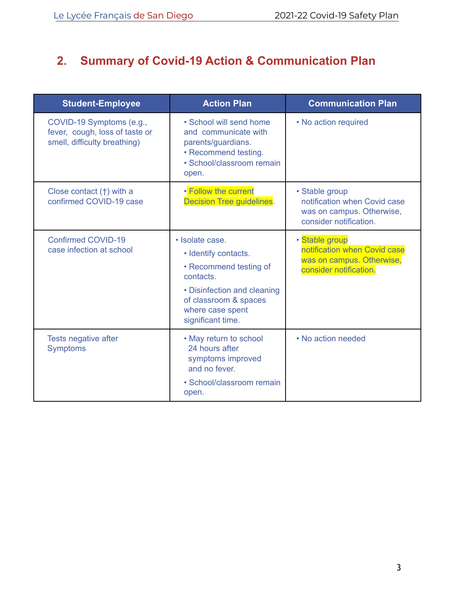# **2. Summary of Covid-19 Action & Communication Plan**

| <b>Student-Employee</b>                                                                    | <b>Action Plan</b>                                                                                                                                                              | <b>Communication Plan</b>                                                                             |
|--------------------------------------------------------------------------------------------|---------------------------------------------------------------------------------------------------------------------------------------------------------------------------------|-------------------------------------------------------------------------------------------------------|
| COVID-19 Symptoms (e.g.,<br>fever, cough, loss of taste or<br>smell, difficulty breathing) | • School will send home<br>and communicate with<br>parents/guardians.<br>• Recommend testing.<br>• School/classroom remain<br>open.                                             | • No action required                                                                                  |
| Close contact $(+)$ with a<br>confirmed COVID-19 case                                      | • Follow the current<br>Decision Tree guidelines.                                                                                                                               | • Stable group<br>notification when Covid case<br>was on campus. Otherwise,<br>consider notification. |
| <b>Confirmed COVID-19</b><br>case infection at school                                      | · Isolate case.<br>· Identify contacts.<br>• Recommend testing of<br>contacts.<br>• Disinfection and cleaning<br>of classroom & spaces<br>where case spent<br>significant time. | · Stable group<br>notification when Covid case<br>was on campus. Otherwise,<br>consider notification. |
| Tests negative after<br><b>Symptoms</b>                                                    | • May return to school<br>24 hours after<br>symptoms improved<br>and no fever.<br>• School/classroom remain<br>open.                                                            | • No action needed                                                                                    |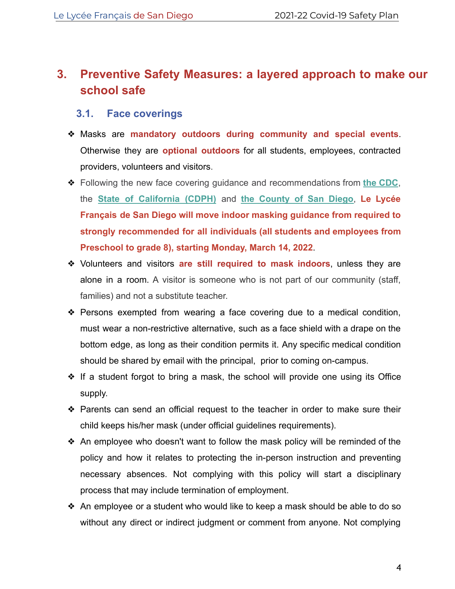# <span id="page-4-0"></span>**3. Preventive Safety Measures: a layered approach to make our school safe**

#### <span id="page-4-1"></span>**3.1. Face coverings**

- ❖ Masks are **mandatory outdoors during community and special events**. Otherwise they are **optional outdoors** for all students, employees, contracted providers, volunteers and visitors.
- ❖ Following the new face covering guidance and recommendations from **[the CDC](https://r20.rs6.net/tn.jsp?f=001PjFTOj9AghYvP3I_6rhRoYeZxHhvEPKHdAdnxBjzXlhRmGXe0bSI-7kNn4AIwaFaXkAC55OcTe_TMfm-ueQ9psfs6wevcsFU5tjjUuipgHhzC7tHjBsamk-h_SsSdqmdsGT3YjWUX_F9g0j8YzYP95uh8e1yI88FNGz9dmrh-LZDMTKWBnWX4fsY9IuRUM-qlU_1xYm36WM4q0FzTv0_Vg==&c=Bcd_lF9ybrkkbOnhkHkAyH0UIXUBkJU3lP_HamDGPSMvxzlTbkBLIA==&ch=QTBMlb4w-2Z8G7Exhjc0AHdoKaGi75-di7HqTHDbo_V5X7iGOjZoag==)**, the **[State of California \(CDPH\)](https://r20.rs6.net/tn.jsp?f=001PjFTOj9AghYvP3I_6rhRoYeZxHhvEPKHdAdnxBjzXlhRmGXe0bSI-9SQvdx-ZvrVCajE3IJj_wqRfBqlY5nP3NkPhvQT44K9NAPRqnkPcR8dO-OntNq4vuUQNPAlNOZ3OR56iAsM3yM9Krz1gH-6hS1mi1RZWpFYLrOVpVjXQqQ93fCg--jcxRP_w_GCI78TKHxF5xWbu3LQskCGDywezI18NwSOCWMEAco24eyJelbrZMsGz9DqJg==&c=Bcd_lF9ybrkkbOnhkHkAyH0UIXUBkJU3lP_HamDGPSMvxzlTbkBLIA==&ch=QTBMlb4w-2Z8G7Exhjc0AHdoKaGi75-di7HqTHDbo_V5X7iGOjZoag==)** and **[the County of San Diego](https://r20.rs6.net/tn.jsp?f=001PjFTOj9AghYvP3I_6rhRoYeZxHhvEPKHdAdnxBjzXlhRmGXe0bSI-7kNn4AIwaFap4lZtVzbhKyUe-ouUsiue1SXllxW7WewI5UHqTE6puaOwdaAgzUfSRW0-9wgsRg9-buTsW5NDs03_EPG8ZTtC-bbdt9ve4afF8HLjCDHIlVDRHzezMgj9bzMyQeBBLNHRY0gkAWjMABIEsQlUGqHAFD9o-L5urxvfVAN84SzrCV1uvLLIv148Xt7l5U2PlCjPZjt6QFJTFxjoOpNTs2Oy4gW35lcDKQi&c=Bcd_lF9ybrkkbOnhkHkAyH0UIXUBkJU3lP_HamDGPSMvxzlTbkBLIA==&ch=QTBMlb4w-2Z8G7Exhjc0AHdoKaGi75-di7HqTHDbo_V5X7iGOjZoag==)**, **Le Lycée Français de San Diego will move indoor masking guidance from required to strongly recommended for all individuals (all students and employees from Preschool to grade 8), starting Monday, March 14, 2022**.
- ❖ Volunteers and visitors **are still required to mask indoors**, unless they are alone in a room. A visitor is someone who is not part of our community (staff, families) and not a substitute teacher.
- ❖ Persons exempted from wearing a face covering due to a medical condition, must wear a non-restrictive alternative, such as a face shield with a drape on the bottom edge, as long as their condition permits it. Any specific medical condition should be shared by email with the principal, prior to coming on-campus.
- ❖ If a student forgot to bring a mask, the school will provide one using its Office supply.
- ❖ Parents can send an official request to the teacher in order to make sure their child keeps his/her mask (under official guidelines requirements).
- ❖ An employee who doesn't want to follow the mask policy will be reminded of the policy and how it relates to protecting the in-person instruction and preventing necessary absences. Not complying with this policy will start a disciplinary process that may include termination of employment.
- ❖ An employee or a student who would like to keep a mask should be able to do so without any direct or indirect judgment or comment from anyone. Not complying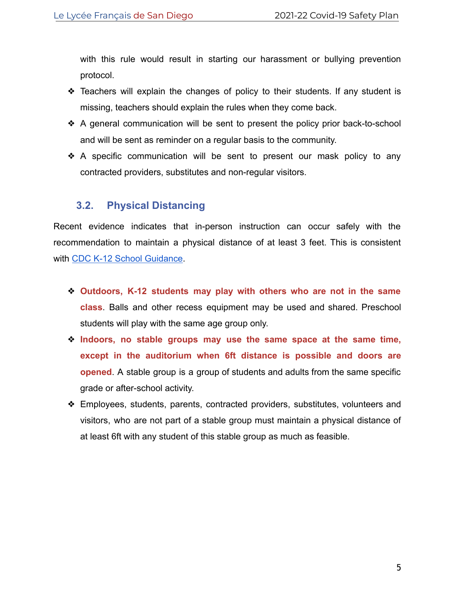with this rule would result in starting our harassment or bullying prevention protocol.

- ❖ Teachers will explain the changes of policy to their students. If any student is missing, teachers should explain the rules when they come back.
- ❖ A general communication will be sent to present the policy prior back-to-school and will be sent as reminder on a regular basis to the community.
- ❖ A specific communication will be sent to present our mask policy to any contracted providers, substitutes and non-regular visitors.

### <span id="page-5-0"></span>**3.2. Physical Distancing**

Recent evidence indicates that in-person instruction can occur safely with the recommendation to maintain a physical distance of at least 3 feet. This is consistent with [CDC K-12 School Guidance](https://www.cdc.gov/coronavirus/2019-ncov/community/schools-childcare/k-12-guidance.html).

- ❖ **Outdoors, K-12 students may play with others who are not in the same class**. Balls and other recess equipment may be used and shared. Preschool students will play with the same age group only.
- ❖ **Indoors, no stable groups may use the same space at the same time, except in the auditorium when 6ft distance is possible and doors are opened**. A stable group is a group of students and adults from the same specific grade or after-school activity.
- ❖ Employees, students, parents, contracted providers, substitutes, volunteers and visitors, who are not part of a stable group must maintain a physical distance of at least 6ft with any student of this stable group as much as feasible.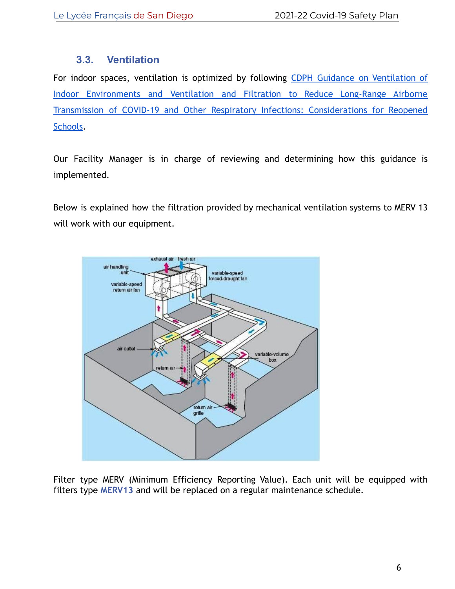### **3.3. Ventilation**

<span id="page-6-0"></span>For indoor spaces, ventilation is optimized by following [CDPH Guidance on Ventilation of](https://www.cdph.ca.gov/Programs/CCDPHP/DEODC/EHLB/IAQ/Pages/Airborne-Diseases.aspx) [Indoor Environments and Ventilation and Filtration to Reduce Long-Range Airborne](https://www.cdph.ca.gov/Programs/CCDPHP/DEODC/EHLB/IAQ/Pages/Airborne-Diseases.aspx) [Transmission of COVID-19 and Other Respiratory Infections: Considerations for Reopened](https://www.cdph.ca.gov/Programs/CCDPHP/DEODC/EHLB/IAQ/Pages/Airborne-Diseases.aspx) [Schools.](https://www.cdph.ca.gov/Programs/CCDPHP/DEODC/EHLB/IAQ/Pages/Airborne-Diseases.aspx)

Our Facility Manager is in charge of reviewing and determining how this guidance is implemented.

Below is explained how the filtration provided by mechanical ventilation systems to MERV 13 will work with our equipment.



Filter type MERV (Minimum Efficiency Reporting Value). Each unit will be equipped with filters type **MERV13** and will be replaced on a regular maintenance schedule.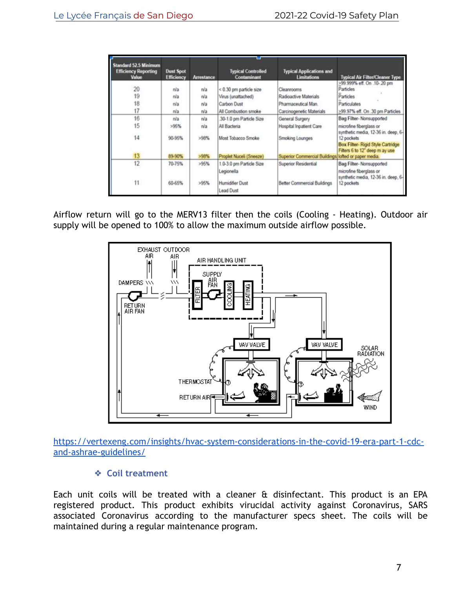| <b>Standard 52.5 Minimum</b><br><b>Efficiency Reporting</b><br><b>Value</b> | <b>Dust Spot</b><br><b>Efficiency</b> | <b>Arrestance</b> | <b>Typical Controlled</b><br>Contaminant   | <b>Typical Applications and</b><br><b>Limitations</b> | <b>Typical Air Filter/Cleaner Type</b>                                                    |
|-----------------------------------------------------------------------------|---------------------------------------|-------------------|--------------------------------------------|-------------------------------------------------------|-------------------------------------------------------------------------------------------|
|                                                                             |                                       |                   |                                            |                                                       | >99.999% eff. On .10-.20 pm                                                               |
| 20                                                                          | n/a                                   | tVa               | < 0.30 pm particle size                    | Cleanrooms                                            | Particles                                                                                 |
| 19                                                                          | n/a                                   | $t\sqrt{a}$       | Virus (unattached)                         | Radioactive Materials                                 | <b>Particles</b>                                                                          |
| 18                                                                          | n/a                                   | n/a               | Carbon Dust                                | Pharmaceutical Man.                                   | Particulates                                                                              |
| 17                                                                          | n/a                                   | n/a               | All Combustion smoke                       | Carcinogenetic Materials                              | >99.97% eff. On .30 pm Particles                                                          |
| 16                                                                          | nía                                   | n/a               | 30-1.0 pm Particle Size                    | General Surgery                                       | Bag Filter-Nonsupported                                                                   |
| 15                                                                          | >95%                                  | n/a               | All Bacteria                               | Hospital Inpatient Care                               | microfine fiberglass or<br>synthetic media, 12-36 in. deep, 6-                            |
| 14                                                                          | 90-95%                                | >98%              | Most Tobacco Smoke                         | Smoking Lounges                                       | 12 pockets<br><b>Box Filter-Rigid Style Cartridge</b><br>Filters 6 to 12" deep m ay use   |
| 13                                                                          | 89-90%                                | >98%              | Proplet Nuceli (Sneeze)                    | Superior Commercial Buildings lofted or paper media.  |                                                                                           |
| 12                                                                          | 70-75%                                | >95%              | 1.0-3.0 pm Particle Size<br>Legionella     | Superior Residential                                  | Bag Filter-Nonsupported<br>microfine fiberglass or<br>synthetic media, 12-36 in. deep, 6- |
| 11                                                                          | 60-65%                                | >95%              | <b>Humidifier Dust</b><br><b>Lead Dust</b> | Better Commercial Buildings                           | 12 pockets                                                                                |

Airflow return will go to the MERV13 filter then the coils (Cooling - Heating). Outdoor air supply will be opened to 100% to allow the maximum outside airflow possible.



[https://vertexeng.com/insights/hvac-system-considerations-in-the-covid-19-era-part-1-cdc](https://vertexeng.com/insights/hvac-system-considerations-in-the-covid-19-era-part-1-cdc-and-ashrae-guidelines/)[and-ashrae-guidelines/](https://vertexeng.com/insights/hvac-system-considerations-in-the-covid-19-era-part-1-cdc-and-ashrae-guidelines/)

#### ❖ **Coil treatment**

Each unit coils will be treated with a cleaner & disinfectant. This product is an EPA registered product. This product exhibits virucidal activity against Coronavirus, SARS associated Coronavirus according to the manufacturer specs sheet. The coils will be maintained during a regular maintenance program.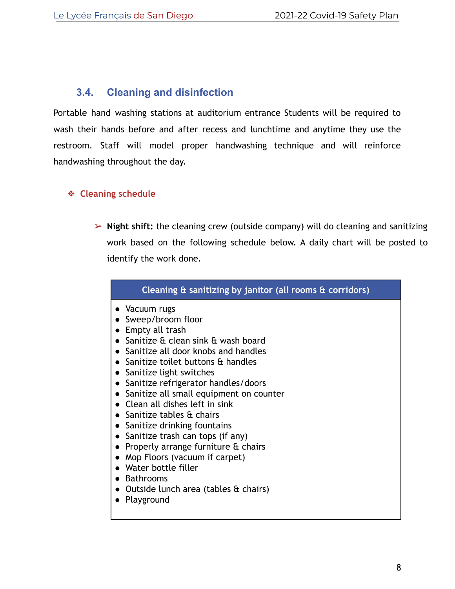#### <span id="page-8-0"></span>**3.4. Cleaning and disinfection**

Portable hand washing stations at auditorium entrance Students will be required to wash their hands before and after recess and lunchtime and anytime they use the restroom. Staff will model proper handwashing technique and will reinforce handwashing throughout the day.

#### ❖ **Cleaning schedule**

➢ **Night shift:** the cleaning crew (outside company) will do cleaning and sanitizing work based on the following schedule below. A daily chart will be posted to identify the work done.

| Cleaning $\overline{a}$ sanitizing by janitor (all rooms $\overline{a}$ corridors)                                                                                                                                                |  |
|-----------------------------------------------------------------------------------------------------------------------------------------------------------------------------------------------------------------------------------|--|
| • Vacuum rugs<br>• Sweep/broom floor<br>$\bullet$ Empty all trash<br>• Sanitize & clean sink & wash board<br>• Sanitize all door knobs and handles<br>• Sanitize toilet buttons $\alpha$ handles<br>• Sanitize light switches     |  |
| • Sanitize refrigerator handles/doors<br>• Sanitize all small equipment on counter<br>• Clean all dishes left in sink<br>• Sanitize tables $\alpha$ chairs<br>• Sanitize drinking fountains<br>• Sanitize trash can tops (if any) |  |
| • Properly arrange furniture $\alpha$ chairs<br>• Mop Floors (vacuum if carpet)<br>• Water bottle filler<br>• Bathrooms<br>• Outside lunch area (tables & chairs)                                                                 |  |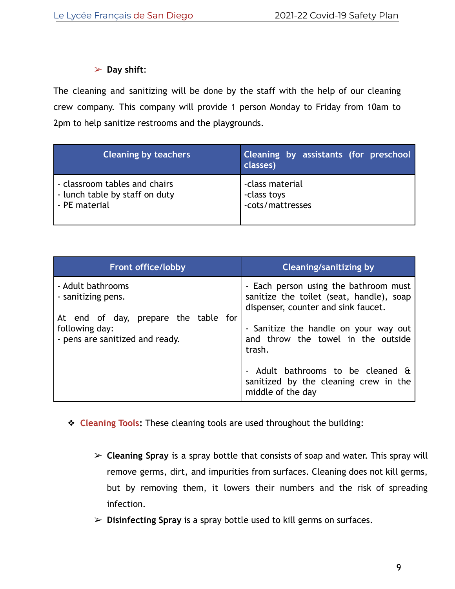#### ➢ **Day shift**:

The cleaning and sanitizing will be done by the staff with the help of our cleaning crew company. This company will provide 1 person Monday to Friday from 10am to 2pm to help sanitize restrooms and the playgrounds.

| <b>Cleaning by teachers</b>    | Cleaning by assistants (for preschool<br>classes) |
|--------------------------------|---------------------------------------------------|
| - classroom tables and chairs  | -class material                                   |
| - lunch table by staff on duty | -class toys                                       |
| - PE material                  | -cots/mattresses                                  |

| <b>Front office/lobby</b>                                                                 | <b>Cleaning/sanitizing by</b>                                                                                            |
|-------------------------------------------------------------------------------------------|--------------------------------------------------------------------------------------------------------------------------|
| - Adult bathrooms<br>- sanitizing pens.                                                   | - Each person using the bathroom must<br>sanitize the toilet (seat, handle), soap<br>dispenser, counter and sink faucet. |
| At end of day, prepare the table for<br>following day:<br>- pens are sanitized and ready. | - Sanitize the handle on your way out<br>and throw the towel in the outside<br>trash.                                    |
|                                                                                           | - Adult bathrooms to be cleaned &<br>sanitized by the cleaning crew in the<br>middle of the day                          |

- ❖ **Cleaning Tools:** These cleaning tools are used throughout the building:
	- ➢ **Cleaning Spray** is a spray bottle that consists of soap and water. This spray will remove germs, dirt, and impurities from surfaces. Cleaning does not kill germs, but by removing them, it lowers their numbers and the risk of spreading infection.
	- ➢ **Disinfecting Spray** is a spray bottle used to kill germs on surfaces.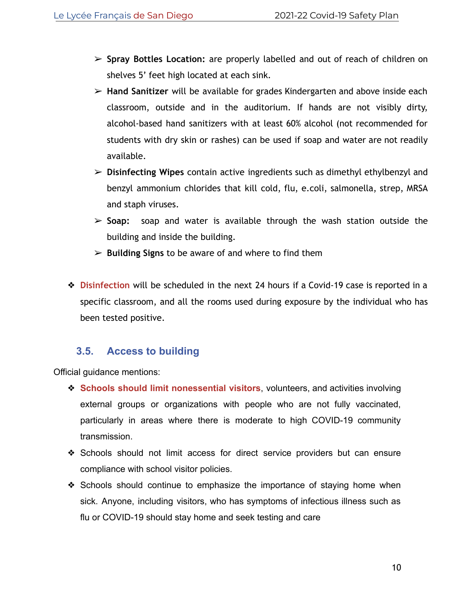- ➢ **Spray Bottles Location:** are properly labelled and out of reach of children on shelves 5' feet high located at each sink.
- ➢ **Hand Sanitizer** will be available for grades Kindergarten and above inside each classroom, outside and in the auditorium. If hands are not visibly dirty, alcohol-based hand sanitizers with at least 60% alcohol (not recommended for students with dry skin or rashes) can be used if soap and water are not readily available.
- ➢ **Disinfecting Wipes** contain active ingredients such as dimethyl ethylbenzyl and benzyl ammonium chlorides that kill cold, flu, e.coli, salmonella, strep, MRSA and staph viruses.
- ➢ **Soap:** soap and water is available through the wash station outside the building and inside the building.
- ➢ **Building Signs** to be aware of and where to find them
- ❖ **Disinfection** will be scheduled in the next 24 hours if a Covid-19 case is reported in a specific classroom, and all the rooms used during exposure by the individual who has been tested positive.

## **3.5. Access to building**

<span id="page-10-0"></span>Official guidance mentions:

- ❖ **Schools should limit nonessential visitors**, volunteers, and activities involving external groups or organizations with people who are not fully vaccinated, particularly in areas where there is moderate to high COVID-19 community transmission.
- ❖ Schools should not limit access for direct service providers but can ensure compliance with school visitor policies.
- ❖ Schools should continue to emphasize the importance of staying home when sick. Anyone, including visitors, who has symptoms of infectious illness such as flu or COVID-19 should stay home and seek testing and care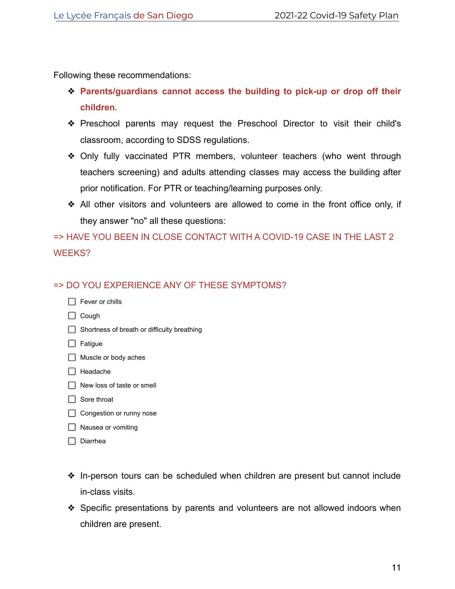Following these recommendations:

- ❖ **Parents/guardians cannot access the building to pick-up or drop off their children**.
- ❖ Preschool parents may request the Preschool Director to visit their child's classroom, according to SDSS regulations.
- ❖ Only fully vaccinated PTR members, volunteer teachers (who went through teachers screening) and adults attending classes may access the building after prior notification. For PTR or teaching/learning purposes only.
- ❖ All other visitors and volunteers are allowed to come in the front office only, if they answer "no" all these questions:

# => HAVE YOU BEEN IN CLOSE CONTACT WITH A COVID-19 CASE IN THE LAST 2 WEEKS?

#### => DO YOU EXPERIENCE ANY OF THESE SYMPTOMS?

| Fever or chills                             |
|---------------------------------------------|
| Cough                                       |
| Shortness of breath or difficulty breathing |

- $\Box$  Fatigue
- Muscle or body aches
- $\Box$  Headache
- $\Box$  New loss of taste or smell
- $\Box$  Sore throat
- Congestion or runny nose
- □ Nausea or vomiting
- $\Box$  Diarrhea
- ❖ In-person tours can be scheduled when children are present but cannot include in-class visits.
- ❖ Specific presentations by parents and volunteers are not allowed indoors when children are present.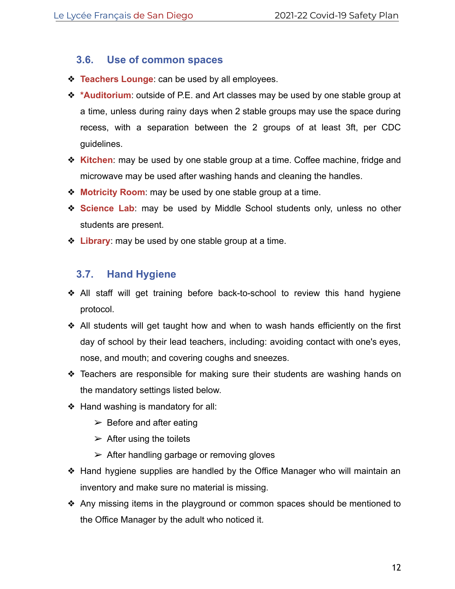#### <span id="page-12-0"></span>**3.6. Use of common spaces**

- ❖ **Teachers Lounge**: can be used by all employees.
- ❖ **\*Auditorium**: outside of P.E. and Art classes may be used by one stable group at a time, unless during rainy days when 2 stable groups may use the space during recess, with a separation between the 2 groups of at least 3ft, per CDC guidelines.
- ❖ **Kitchen**: may be used by one stable group at a time. Coffee machine, fridge and microwave may be used after washing hands and cleaning the handles.
- ❖ **Motricity Room**: may be used by one stable group at a time.
- ❖ **Science Lab**: may be used by Middle School students only, unless no other students are present.
- ❖ **Library**: may be used by one stable group at a time.

### <span id="page-12-1"></span>**3.7. Hand Hygiene**

- ❖ All staff will get training before back-to-school to review this hand hygiene protocol.
- ❖ All students will get taught how and when to wash hands efficiently on the first day of school by their lead teachers, including: avoiding contact with one's eyes, nose, and mouth; and covering coughs and sneezes.
- ❖ Teachers are responsible for making sure their students are washing hands on the mandatory settings listed below.
- ❖ Hand washing is mandatory for all:
	- $\triangleright$  Before and after eating
	- $\triangleright$  After using the toilets
	- $\triangleright$  After handling garbage or removing gloves
- ❖ Hand hygiene supplies are handled by the Office Manager who will maintain an inventory and make sure no material is missing.
- ❖ Any missing items in the playground or common spaces should be mentioned to the Office Manager by the adult who noticed it.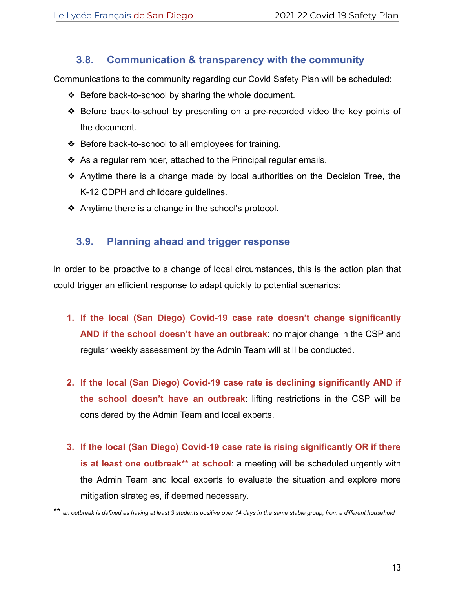## **3.8. Communication & transparency with the community**

<span id="page-13-0"></span>Communications to the community regarding our Covid Safety Plan will be scheduled:

- ❖ Before back-to-school by sharing the whole document.
- ❖ Before back-to-school by presenting on a pre-recorded video the key points of the document.
- ❖ Before back-to-school to all employees for training.
- ❖ As a regular reminder, attached to the Principal regular emails.
- ❖ Anytime there is a change made by local authorities on the Decision Tree, the K-12 CDPH and childcare guidelines.
- ❖ Anytime there is a change in the school's protocol.

## <span id="page-13-1"></span>**3.9. Planning ahead and trigger response**

In order to be proactive to a change of local circumstances, this is the action plan that could trigger an efficient response to adapt quickly to potential scenarios:

- **1. If the local (San Diego) Covid-19 case rate doesn't change significantly AND if the school doesn't have an outbreak**: no major change in the CSP and regular weekly assessment by the Admin Team will still be conducted.
- **2. If the local (San Diego) Covid-19 case rate is declining significantly AND if the school doesn't have an outbreak**: lifting restrictions in the CSP will be considered by the Admin Team and local experts.
- **3. If the local (San Diego) Covid-19 case rate is rising significantly OR if there is at least one outbreak\*\* at school**: a meeting will be scheduled urgently with the Admin Team and local experts to evaluate the situation and explore more mitigation strategies, if deemed necessary.

\*\* *an outbreak is defined as having at least 3 students positive over 14 days in the same stable group, from a different household*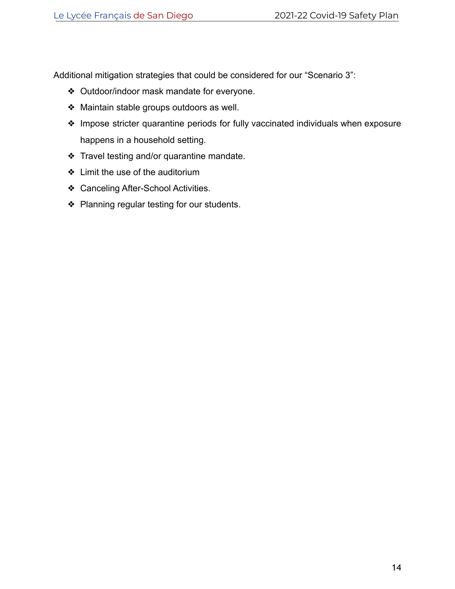Additional mitigation strategies that could be considered for our "Scenario 3":

- ❖ Outdoor/indoor mask mandate for everyone.
- ❖ Maintain stable groups outdoors as well.
- ❖ Impose stricter quarantine periods for fully vaccinated individuals when exposure happens in a household setting.
- ❖ Travel testing and/or quarantine mandate.
- ❖ Limit the use of the auditorium
- ❖ Canceling After-School Activities.
- ❖ Planning regular testing for our students.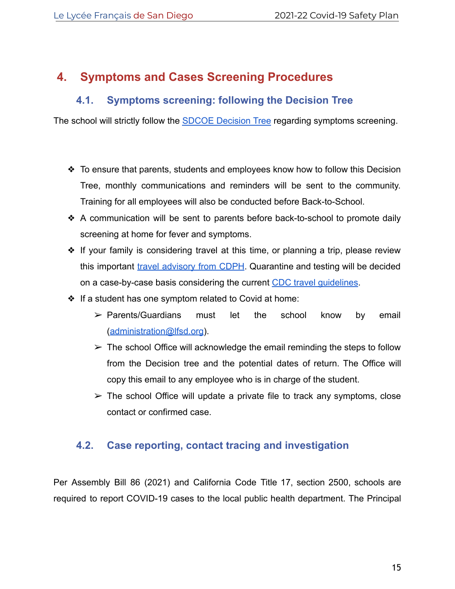# <span id="page-15-0"></span>**4. Symptoms and Cases Screening Procedures**

## **4.1. Symptoms screening: following the Decision Tree**

<span id="page-15-1"></span>The school will strictly follow the [SDCOE Decision Tree](https://covid-19.sdcoe.net/Portals/covid-19/Documents/Health%20Practices/COVID-19-Decision-Tree.pdf) regarding symptoms screening.

- ❖ To ensure that parents, students and employees know how to follow this Decision Tree, monthly communications and reminders will be sent to the community. Training for all employees will also be conducted before Back-to-School.
- ❖ A communication will be sent to parents before back-to-school to promote daily screening at home for fever and symptoms.
- ❖ If your family is considering travel at this time, or planning a trip, please review this important [travel advisory from CDPH](https://covid19.ca.gov/travel/). Quarantine and testing will be decided on a case-by-case basis considering the current [CDC travel guidelines](https://www.cdc.gov/coronavirus/2019-ncov/travelers/index.html).
- ❖ If a student has one symptom related to Covid at home:
	- ➢ Parents/Guardians must let the school know by email ([administration@lfsd.org](mailto:administration@lfsd.org)).
	- $\triangleright$  The school Office will acknowledge the email reminding the steps to follow from the Decision tree and the potential dates of return. The Office will copy this email to any employee who is in charge of the student.
	- $\triangleright$  The school Office will update a private file to track any symptoms, close contact or confirmed case.

### <span id="page-15-2"></span>**4.2. Case reporting, contact tracing and investigation**

Per Assembly Bill 86 (2021) and California Code Title 17, section 2500, schools are required to report COVID-19 cases to the local public health department. The Principal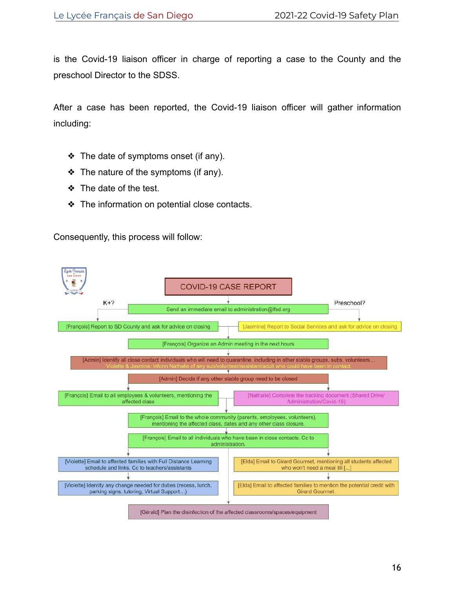is the Covid-19 liaison officer in charge of reporting a case to the County and the preschool Director to the SDSS.

After a case has been reported, the Covid-19 liaison officer will gather information including:

- ❖ The date of symptoms onset (if any).
- ❖ The nature of the symptoms (if any).
- ❖ The date of the test.
- ❖ The information on potential close contacts.

Consequently, this process will follow:

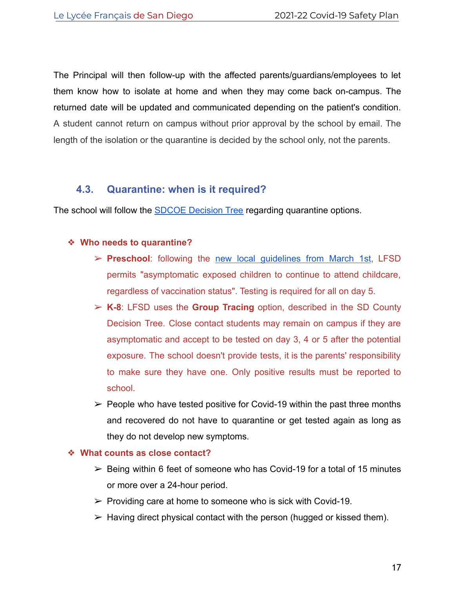The Principal will then follow-up with the affected parents/guardians/employees to let them know how to isolate at home and when they may come back on-campus. The returned date will be updated and communicated depending on the patient's condition. A student cannot return on campus without prior approval by the school by email. The length of the isolation or the quarantine is decided by the school only, not the parents.

### **4.3. Quarantine: when is it required?**

<span id="page-17-0"></span>The school will follow the [SDCOE Decision Tree](https://covid-19.sdcoe.net/Portals/covid-19/Documents/Health%20Practices/COVID-19-Decision-Tree.pdf) regarding quarantine options.

#### ❖ **Who needs to quarantine?**

- ➢ **Preschool**: following the [new local guidelines from March 1st](https://www.sandiegocounty.gov/content/dam/sdc/hhsa/programs/phs/Epidemiology/covid19/Community_Sector_Support/ChildCareServices/Childcare%20COVID%20Decision%20Tree.pdf), LFSD permits "asymptomatic exposed children to continue to attend childcare, regardless of vaccination status". Testing is required for all on day 5.
- ➢ **K-8**: LFSD uses the **Group Tracing** option, described in the SD County Decision Tree. Close contact students may remain on campus if they are asymptomatic and accept to be tested on day 3, 4 or 5 after the potential exposure. The school doesn't provide tests, it is the parents' responsibility to make sure they have one. Only positive results must be reported to school.
- $\geq$  People who have tested positive for Covid-19 within the past three months and recovered do not have to quarantine or get tested again as long as they do not develop new symptoms.

#### ❖ **What counts as close contact?**

- $\triangleright$  Being within 6 feet of someone who has Covid-19 for a total of 15 minutes or more over a 24-hour period.
- $\triangleright$  Providing care at home to someone who is sick with Covid-19.
- $\triangleright$  Having direct physical contact with the person (hugged or kissed them).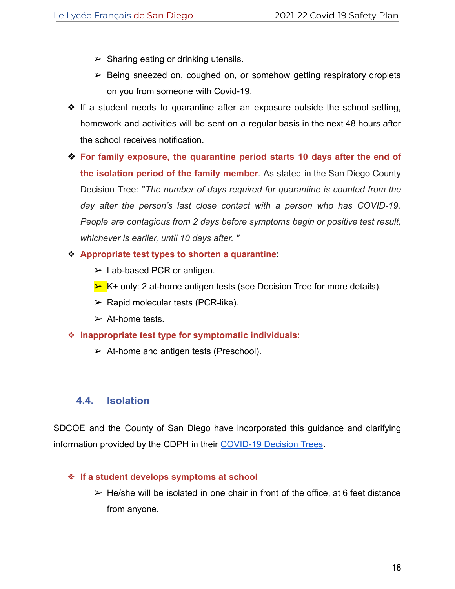- $\triangleright$  Sharing eating or drinking utensils.
- $\triangleright$  Being sneezed on, coughed on, or somehow getting respiratory droplets on you from someone with Covid-19.
- ❖ If a student needs to quarantine after an exposure outside the school setting, homework and activities will be sent on a regular basis in the next 48 hours after the school receives notification.
- ❖ **For family exposure, the quarantine period starts 10 days after the end of the isolation period of the family member**. As stated in the San Diego County Decision Tree: "*The number of days required for quarantine is counted from the day after the person's last close contact with a person who has COVID-19. People are contagious from 2 days before symptoms begin or positive test result, whichever is earlier, until 10 days after. "*
- ❖ **Appropriate test types to shorten a quarantine**:
	- $\triangleright$  Lab-based PCR or antigen.
	- $\triangleright$  K+ only: 2 at-home antigen tests (see Decision Tree for more details).
	- $\triangleright$  Rapid molecular tests (PCR-like).
	- $\triangleright$  At-home tests.
- ❖ **Inappropriate test type for symptomatic individuals:**
	- $\triangleright$  At-home and antigen tests (Preschool).

### <span id="page-18-0"></span>**4.4. Isolation**

SDCOE and the County of San Diego have incorporated this guidance and clarifying information provided by the CDPH in their [COVID-19 Decision Trees](https://covid-19.sdcoe.net/Portals/covid-19/Documents/Health%20Practices/COVID-19-Decision-Tree.pdf).

#### ❖ **If a student develops symptoms at school**

 $\triangleright$  He/she will be isolated in one chair in front of the office, at 6 feet distance from anyone.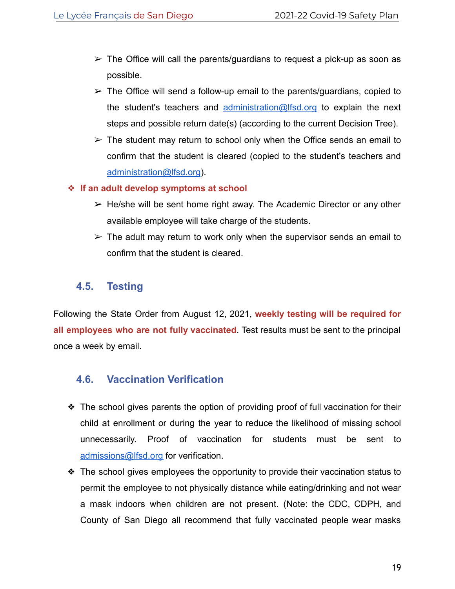- $\triangleright$  The Office will call the parents/quardians to request a pick-up as soon as possible.
- $\geq$  The Office will send a follow-up email to the parents/guardians, copied to the student's teachers and [administration@lfsd.org](mailto:administration@lfsd.org) to explain the next steps and possible return date(s) (according to the current Decision Tree).
- $\geq$  The student may return to school only when the Office sends an email to confirm that the student is cleared (copied to the student's teachers and [administration@lfsd.org](mailto:administration@lfsd.org)).

#### ❖ **If an adult develop symptoms at school**

- $\triangleright$  He/she will be sent home right away. The Academic Director or any other available employee will take charge of the students.
- $\triangleright$  The adult may return to work only when the supervisor sends an email to confirm that the student is cleared.

### <span id="page-19-0"></span>**4.5. Testing**

Following the State Order from August 12, 2021, **weekly testing will be required for all employees who are not fully vaccinated**. Test results must be sent to the principal once a week by email.

## <span id="page-19-1"></span>**4.6. Vaccination Verification**

- ❖ The school gives parents the option of providing proof of full vaccination for their child at enrollment or during the year to reduce the likelihood of missing school unnecessarily. Proof of vaccination for students must be sent to [admissions@lfsd.org](mailto:admissions@lfsd.org) for verification.
- ❖ The school gives employees the opportunity to provide their vaccination status to permit the employee to not physically distance while eating/drinking and not wear a mask indoors when children are not present. (Note: the CDC, CDPH, and County of San Diego all recommend that fully vaccinated people wear masks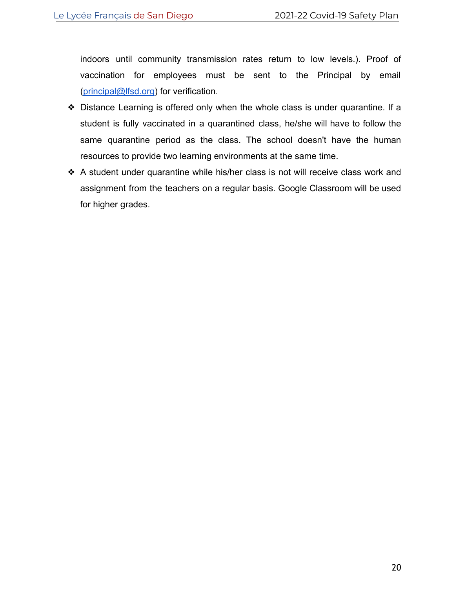indoors until community transmission rates return to low levels.). Proof of vaccination for employees must be sent to the Principal by email ([principal@lfsd.org](mailto:principal@lfsd.org)) for verification.

- ❖ Distance Learning is offered only when the whole class is under quarantine. If a student is fully vaccinated in a quarantined class, he/she will have to follow the same quarantine period as the class. The school doesn't have the human resources to provide two learning environments at the same time.
- ❖ A student under quarantine while his/her class is not will receive class work and assignment from the teachers on a regular basis. Google Classroom will be used for higher grades.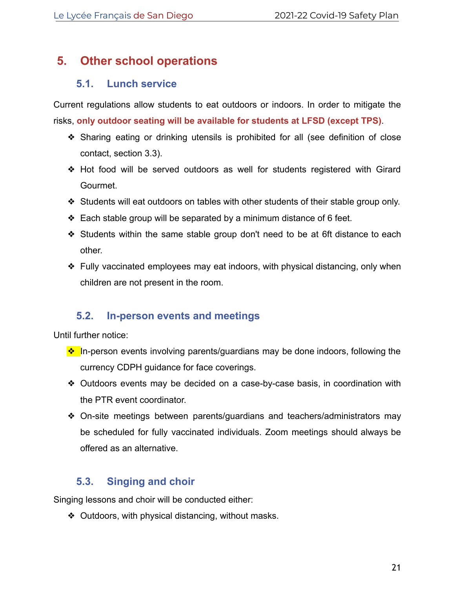# <span id="page-21-0"></span>**5. Other school operations**

### **5.1. Lunch service**

<span id="page-21-1"></span>Current regulations allow students to eat outdoors or indoors. In order to mitigate the risks, **only outdoor seating will be available for students at LFSD (except TPS)**.

- ❖ Sharing eating or drinking utensils is prohibited for all (see definition of close contact, section 3.3).
- ❖ Hot food will be served outdoors as well for students registered with Girard Gourmet.
- ❖ Students will eat outdoors on tables with other students of their stable group only.
- ❖ Each stable group will be separated by a minimum distance of 6 feet.
- ❖ Students within the same stable group don't need to be at 6ft distance to each other.
- ❖ Fully vaccinated employees may eat indoors, with physical distancing, only when children are not present in the room.

## **5.2. In-person events and meetings**

<span id="page-21-2"></span>Until further notice:

- ❖ In-person events involving parents/guardians may be done indoors, following the currency CDPH guidance for face coverings.
- ❖ Outdoors events may be decided on a case-by-case basis, in coordination with the PTR event coordinator.
- ❖ On-site meetings between parents/guardians and teachers/administrators may be scheduled for fully vaccinated individuals. Zoom meetings should always be offered as an alternative.

## **5.3. Singing and choir**

<span id="page-21-3"></span>Singing lessons and choir will be conducted either:

❖ Outdoors, with physical distancing, without masks.